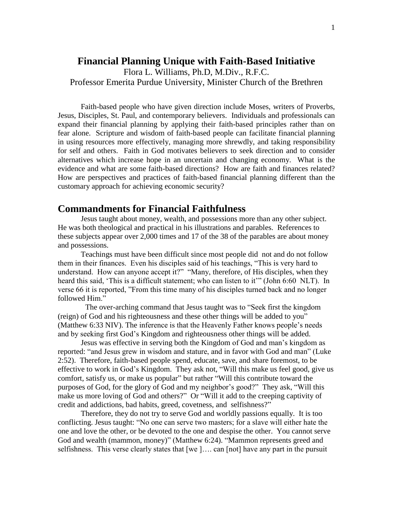# **Financial Planning Unique with Faith-Based Initiative**

Flora L. Williams, Ph.D, M.Div., R.F.C. Professor Emerita Purdue University, Minister Church of the Brethren

Faith-based people who have given direction include Moses, writers of Proverbs, Jesus, Disciples, St. Paul, and contemporary believers. Individuals and professionals can expand their financial planning by applying their faith-based principles rather than on fear alone. Scripture and wisdom of faith-based people can facilitate financial planning in using resources more effectively, managing more shrewdly, and taking responsibility for self and others. Faith in God motivates believers to seek direction and to consider alternatives which increase hope in an uncertain and changing economy. What is the evidence and what are some faith-based directions? How are faith and finances related? How are perspectives and practices of faith-based financial planning different than the customary approach for achieving economic security?

## **Commandments for Financial Faithfulness**

Jesus taught about money, wealth, and possessions more than any other subject. He was both theological and practical in his illustrations and parables. References to these subjects appear over 2,000 times and 17 of the 38 of the parables are about money and possessions.

Teachings must have been difficult since most people did not and do not follow them in their finances. Even his disciples said of his teachings, "This is very hard to understand. How can anyone accept it?" "Many, therefore, of His disciples, when they heard this said, 'This is a difficult statement; who can listen to it'" (John 6:60 NLT). In verse 66 it is reported, "From this time many of his disciples turned back and no longer followed Him."

 The over-arching command that Jesus taught was to "Seek first the kingdom (reign) of God and his righteousness and these other things will be added to you" (Matthew 6:33 NIV). The inference is that the Heavenly Father knows people's needs and by seeking first God's Kingdom and righteousness other things will be added.

Jesus was effective in serving both the Kingdom of God and man's kingdom as reported: "and Jesus grew in wisdom and stature, and in favor with God and man" (Luke 2:52). Therefore, faith-based people spend, educate, save, and share foremost, to be effective to work in God's Kingdom. They ask not, "Will this make us feel good, give us comfort, satisfy us, or make us popular" but rather "Will this contribute toward the purposes of God, for the glory of God and my neighbor's good?" They ask, "Will this make us more loving of God and others?" Or "Will it add to the creeping captivity of credit and addictions, bad habits, greed, covetness, and selfishness?"

Therefore, they do not try to serve God and worldly passions equally. It is too conflicting. Jesus taught: "No one can serve two masters; for a slave will either hate the one and love the other, or be devoted to the one and despise the other. You cannot serve God and wealth (mammon, money)" (Matthew 6:24). "Mammon represents greed and selfishness. This verse clearly states that [we ]…. can [not] have any part in the pursuit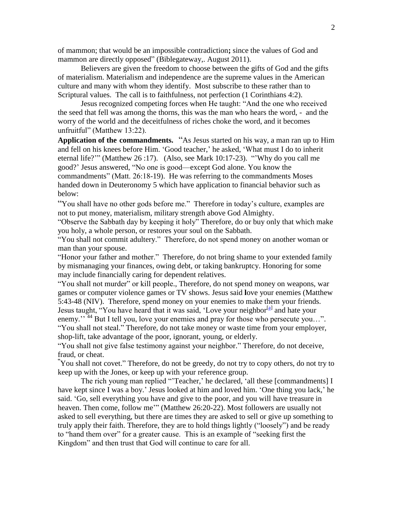of mammon; that would be an impossible contradiction**;** since the values of God and mammon are directly opposed" (Biblegateway,. August 2011).

Believers are given the freedom to choose between the gifts of God and the gifts of materialism. Materialism and independence are the supreme values in the American culture and many with whom they identify. Most subscribe to these rather than to Scriptural values. The call is to faithfulness, not perfection (1 Corinthians 4:2).

Jesus recognized competing forces when He taught: "And the one who received the seed that fell was among the thorns, this was the man who hears the word, - and the worry of the world and the deceitfulness of riches choke the word, and it becomes unfruitful" (Matthew 13:22).

**Application of the commandments.** "As Jesus started on his way, a man ran up to Him and fell on his knees before Him. 'Good teacher,' he asked, 'What must I do to inherit eternal life?'" (Matthew 26 :17). (Also, see Mark 10:17-23). "'Why do you call me good?' Jesus answered, "No one is good—except God alone. You know the commandments" (Matt. 26:18-19). He was referring to the commandments Moses handed down in Deuteronomy 5 which have application to financial behavior such as below:

"You shall have no other gods before me." Therefore in today's culture, examples are not to put money, materialism, military strength above God Almighty.

"Observe the Sabbath day by keeping it holy" Therefore, do or buy only that which make you holy, a whole person, or restores your soul on the Sabbath.

"You shall not commit adultery." Therefore, do not spend money on another woman or man than your spouse.

"Honor your father and mother." Therefore, do not bring shame to your extended family by mismanaging your finances, owing debt, or taking bankruptcy. Honoring for some may include financially caring for dependent relatives.

"You shall not murder" or kill people., Therefore, do not spend money on weapons, war games or computer violence games or TV shows. Jesus said **l**ove your enemies (Matthew 5:43-48 (NIV). Therefore, spend money on your enemies to make them your friends. Jesus taught, "You have heard that it was said, 'Love your neighbor<sup>[\[a\]](http://www.biblegateway.com/passage/?search=Matthew%206:25-34,%20Matthew%205:43-48,%20Matthew%2019:17-23,%2026:7-12,%20Mark%2010:17-23,%20Psalm%2062:10&version=NIV#fen-NIV-en-NIV-23278a#fen-NIV-en-NIV-23278a)</sup> and hate your enemy."<sup>44</sup> But I tell you, love your enemies and pray for those who persecute you…". "You shall not steal." Therefore, do not take money or waste time from your employer, shop-lift, take advantage of the poor, ignorant, young, or elderly.

"You shall not give false testimony against your neighbor." Therefore, do not deceive, fraud, or cheat.

**"**You shall not covet." Therefore, do not be greedy, do not try to copy others, do not try to keep up with the Jones, or keep up with your reference group.

The rich young man replied "'Teacher,' he declared, 'all these [commandments] I have kept since I was a boy.' Jesus looked at him and loved him. 'One thing you lack,' he said. 'Go, sell everything you have and give to the poor, and you will have treasure in heaven. Then come, follow me'" (Matthew 26:20-22). Most followers are usually not asked to sell everything, but there are times they are asked to sell or give up something to truly apply their faith. Therefore, they are to hold things lightly ("loosely") and be ready to "hand them over" for a greater cause. This is an example of "seeking first the Kingdom" and then trust that God will continue to care for all.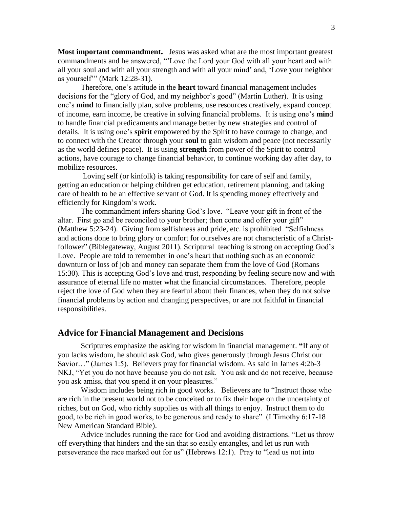**Most important commandment.** Jesus was asked what are the most important greatest commandments and he answered, "'Love the Lord your God with all your heart and with all your soul and with all your strength and with all your mind' and, 'Love your neighbor as yourself'" (Mark 12:28-31).

Therefore, one's attitude in the **heart** toward financial management includes decisions for the "glory of God, and my neighbor's good" (Martin Luther). It is using one's **mind** to financially plan, solve problems, use resources creatively, expand concept of income, earn income, be creative in solving financial problems. It is using one's **min**d to handle financial predicaments and manage better by new strategies and control of details. It is using one's **spirit** empowered by the Spirit to have courage to change, and to connect with the Creator through your **soul** to gain wisdom and peace (not necessarily as the world defines peace). It is using **strength** from power of the Spirit to control actions, have courage to change financial behavior, to continue working day after day, to mobilize resources.

Loving self (or kinfolk) is taking responsibility for care of self and family, getting an education or helping children get education, retirement planning, and taking care of health to be an effective servant of God. It is spending money effectively and efficiently for Kingdom's work.

The commandment infers sharing God's love."Leave your gift in front of the altar. First go and be reconciled to your brother; then come and offer your gift" (Matthew 5:23-24). Giving from selfishness and pride, etc. is prohibited "Selfishness and actions done to bring glory or comfort for ourselves are not characteristic of a Christfollower" (Biblegateway, August 2011). Scriptural teaching is strong on accepting God's Love. People are told to remember in one's heart that nothing such as an economic downturn or loss of job and money can separate them from the love of God (Romans 15:30). This is accepting God's love and trust, responding by feeling secure now and with assurance of eternal life no matter what the financial circumstances. Therefore, people reject the love of God when they are fearful about their finances, when they do not solve financial problems by action and changing perspectives, or are not faithful in financial responsibilities.

## **Advice for Financial Management and Decisions**

Scriptures emphasize the asking for wisdom in financial management. **"**If any of you lacks wisdom, he should ask God, who gives generously through Jesus Christ our Savior…" (James 1:5). Believers pray for financial wisdom. As said in James 4:2b-3 NKJ, "Yet you do not have because you do not ask. You ask and do not receive, because you ask amiss, that you spend it on your pleasures."

Wisdom includes being rich in good works. Believers are to "Instruct those who are rich in the present world not to be conceited or to fix their hope on the uncertainty of riches, but on God, who richly supplies us with all things to enjoy. Instruct them to do good, to be rich in good works, to be generous and ready to share" (I Timothy 6:17-18 New American Standard Bible).

Advice includes running the race for God and avoiding distractions. "Let us throw off everything that hinders and the sin that so easily entangles, and let us run with perseverance the race marked out for us" (Hebrews 12:1). Pray to "lead us not into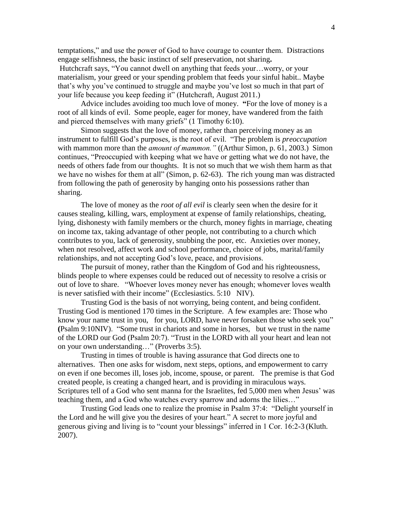temptations," and use the power of God to have courage to counter them. Distractions engage selfishness, the basic instinct of self preservation, not sharing**.**

Hutchcraft says, "You cannot dwell on anything that feeds your…worry, or your materialism, your greed or your spending problem that feeds your sinful habit.. Maybe that's why you've continued to struggle and maybe you've lost so much in that part of your life because you keep feeding it" (Hutchcraft, August 2011.)

Advice includes avoiding too much love of money. **"**For the love of money is a root of all kinds of evil. Some people, eager for money, have wandered from the faith and pierced themselves with many griefs" (1 Timothy 6:10).

Simon suggests that the love of money, rather than perceiving money as an instrument to fulfill God's purposes, is the root of evil. "The problem is *preoccupation*  with mammon more than the *amount of mammon."* ((Arthur Simon, p. 61, 2003.) Simon continues, "Preoccupied with keeping what we have or getting what we do not have, the needs of others fade from our thoughts. It is not so much that we wish them harm as that we have no wishes for them at all" (Simon, p. 62-63). The rich young man was distracted from following the path of generosity by hanging onto his possessions rather than sharing.

The love of money as the *root of all evil* is clearly seen when the desire for it causes stealing, killing, wars, employment at expense of family relationships, cheating, lying, dishonesty with family members or the church, money fights in marriage, cheating on income tax, taking advantage of other people, not contributing to a church which contributes to you, lack of generosity, snubbing the poor, etc. Anxieties over money, when not resolved, affect work and school performance, choice of jobs, marital/family relationships, and not accepting God's love, peace, and provisions.

The pursuit of money, rather than the Kingdom of God and his righteousness, blinds people to where expenses could be reduced out of necessity to resolve a crisis or out of love to share. "Whoever loves money never has enough; whomever loves wealth is never satisfied with their income" (Ecclesiastics. 5:10 NIV).

Trusting God is the basis of not worrying, being content, and being confident. Trusting God is mentioned 170 times in the Scripture. A few examples are: Those who know your name trust in you, for you, LORD, have never forsaken those who seek you" **(**Psalm 9:10NIV). "Some trust in chariots and some in horses, but we trust in the name of the LORD our God (Psalm 20:7). "Trust in the LORD with all your heart and lean not on your own understanding…" (Proverbs 3:5).

Trusting in times of trouble is having assurance that God directs one to alternatives.Then one asks for wisdom, next steps, options, and empowerment to carry on even if one becomes ill, loses job, income, spouse, or parent. The premise is that God created people, is creating a changed heart, and is providing in miraculous ways. Scriptures tell of a God who sent manna for the Israelites, fed 5,000 men when Jesus' was teaching them, and a God who watches every sparrow and adorns the lilies…"

Trusting God leads one to realize the promise in Psalm 37:4: "Delight yourself in the Lord and he will give you the desires of your heart." A secret to more joyful and generous giving and living is to "count your blessings" inferred in 1 Cor. 16:2-3 (Kluth. 2007).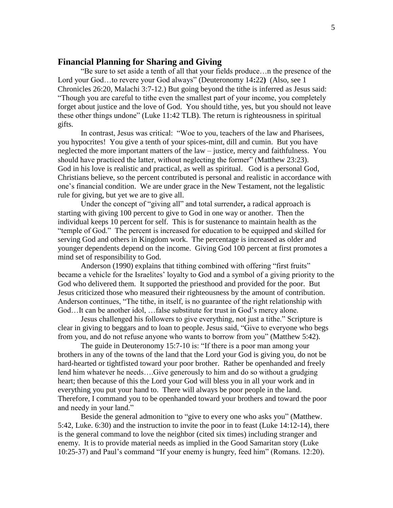## **Financial Planning for Sharing and Giving**

"Be sure to set aside a tenth of all that your fields produce…n the presence of the Lord your God…to revere your God always" (Deuteronomy 14**:**22**)** (Also, see 1 Chronicles 26:20, Malachi 3:7-12.) But going beyond the tithe is inferred as Jesus said: "Though you are careful to tithe even the smallest part of your income, you completely forget about justice and the love of God. You should tithe, yes, but you should not leave these other things undone" (Luke 11:42 TLB). The return is righteousness in spiritual gifts.

In contrast, Jesus was critical: "Woe to you, teachers of the law and Pharisees, you hypocrites! You give a tenth of your spices-mint, dill and cumin. But you have neglected the more important matters of the law – justice, mercy and faithfulness. You should have practiced the latter, without neglecting the former" (Matthew 23:23). God in his love is realistic and practical, as well as spiritual. God is a personal God, Christians believe, so the percent contributed is personal and realistic in accordance with one's financial condition. We are under grace in the New Testament, not the legalistic rule for giving, but yet we are to give all.

Under the concept of "giving all" and total surrender**,** a radical approach is starting with giving 100 percent to give to God in one way or another. Then the individual keeps 10 percent for self. This is for sustenance to maintain health as the "temple of God." The percent is increased for education to be equipped and skilled for serving God and others in Kingdom work. The percentage is increased as older and younger dependents depend on the income. Giving God 100 percent at first promotes a mind set of responsibility to God.

Anderson (1990) explains that tithing combined with offering "first fruits" became a vehicle for the Israelites' loyalty to God and a symbol of a giving priority to the God who delivered them. It supported the priesthood and provided for the poor. But Jesus criticized those who measured their righteousness by the amount of contribution. Anderson continues, "The tithe, in itself, is no guarantee of the right relationship with God…It can be another idol, …false substitute for trust in God's mercy alone.

Jesus challenged his followers to give everything, not just a tithe." Scripture is clear in giving to beggars and to loan to people. Jesus said, "Give to everyone who begs from you, and do not refuse anyone who wants to borrow from you" (Matthew 5:42).

The guide in Deuteronomy 15:7-10 is: "If there is a poor man among your brothers in any of the towns of the land that the Lord your God is giving you, do not be hard-hearted or tightfisted toward your poor brother. Rather be openhanded and freely lend him whatever he needs….Give generously to him and do so without a grudging heart; then because of this the Lord your God will bless you in all your work and in everything you put your hand to. There will always be poor people in the land. Therefore, I command you to be openhanded toward your brothers and toward the poor and needy in your land."

Beside the general admonition to "give to every one who asks you" (Matthew. 5:42, Luke. 6:30) and the instruction to invite the poor in to feast (Luke 14:12-14), there is the general command to love the neighbor (cited six times) including stranger and enemy. It is to provide material needs as implied in the Good Samaritan story (Luke 10:25-37) and Paul's command "If your enemy is hungry, feed him" (Romans. 12:20).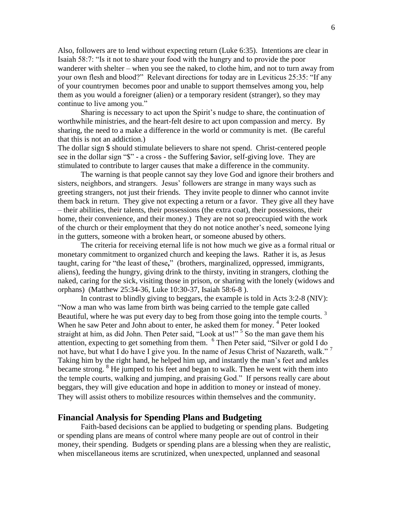Also, followers are to lend without expecting return (Luke 6:35). Intentions are clear in Isaiah 58:7: "Is it not to share your food with the hungry and to provide the poor wanderer with shelter – when you see the naked, to clothe him, and not to turn away from your own flesh and blood?" Relevant directions for today are in Leviticus 25:35: "If any of your countrymen becomes poor and unable to support themselves among you, help them as you would a foreigner (alien) or a temporary resident (stranger), so they may continue to live among you."

 Sharing is necessary to act upon the Spirit's nudge to share, the continuation of worthwhile ministries, and the heart-felt desire to act upon compassion and mercy. By sharing, the need to a make a difference in the world or community is met. (Be careful that this is not an addiction.)

The dollar sign \$ should stimulate believers to share not spend. Christ-centered people see in the dollar sign "\$" - a cross - the Suffering \$avior, self-giving love. They are stimulated to contribute to larger causes that make a difference in the community.

The warning is that people cannot say they love God and ignore their brothers and sisters, neighbors, and strangers. Jesus' followers are strange in many ways such as greeting strangers, not just their friends. They invite people to dinner who cannot invite them back in return. They give not expecting a return or a favor. They give all they have – their abilities, their talents, their possessions (the extra coat), their possessions, their home, their convenience, and their money.) They are not so preoccupied with the work of the church or their employment that they do not notice another's need, someone lying in the gutters, someone with a broken heart, or someone abused by others.

The criteria for receiving eternal life is not how much we give as a formal ritual or monetary commitment to organized church and keeping the laws. Rather it is, as Jesus taught, caring for "the least of these**,**" (brothers, marginalized, oppressed, immigrants, aliens), feeding the hungry, giving drink to the thirsty, inviting in strangers, clothing the naked, caring for the sick, visiting those in prison, or sharing with the lonely (widows and orphans) (Matthew 25:34-36, Luke 10:30-37, Isaiah 58:6-8 ).

In contrast to blindly giving to beggars, the example is told in Acts 3:2-8 (NIV): "Now a man who was lame from birth was being carried to the temple gate called Beautiful, where he was put every day to beg from those going into the temple courts.  $3$ When he saw Peter and John about to enter, he asked them for money.<sup>4</sup> Peter looked straight at him, as did John. Then Peter said, "Look at us!"<sup>5</sup> So the man gave them his attention, expecting to get something from them. <sup>6</sup> Then Peter said, "Silver or gold I do not have, but what I do have I give you. In the name of Jesus Christ of Nazareth, walk."<sup>7</sup> Taking him by the right hand, he helped him up, and instantly the man's feet and ankles became strong.  $8$  He jumped to his feet and began to walk. Then he went with them into the temple courts, walking and jumping, and praising God." If persons really care about beggars, they will give education and hope in addition to money or instead of money. They will assist others to mobilize resources within themselves and the community.

## **Financial Analysis for Spending Plans and Budgeting**

Faith-based decisions can be applied to budgeting or spending plans. Budgeting or spending plans are means of control where many people are out of control in their money, their spending. Budgets or spending plans are a blessing when they are realistic, when miscellaneous items are scrutinized, when unexpected, unplanned and seasonal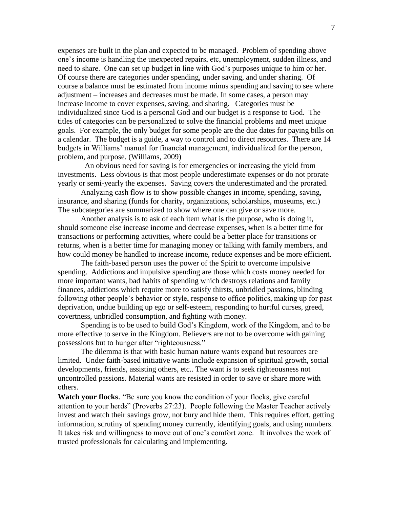expenses are built in the plan and expected to be managed. Problem of spending above one's income is handling the unexpected repairs, etc, unemployment, sudden illness, and need to share. One can set up budget in line with God's purposes unique to him or her. Of course there are categories under spending, under saving, and under sharing. Of course a balance must be estimated from income minus spending and saving to see where adjustment – increases and decreases must be made. In some cases, a person may increase income to cover expenses, saving, and sharing. Categories must be individualized since God is a personal God and our budget is a response to God. The titles of categories can be personalized to solve the financial problems and meet unique goals. For example, the only budget for some people are the due dates for paying bills on a calendar. The budget is a guide, a way to control and to direct resources. There are 14 budgets in Williams' manual for financial management, individualized for the person, problem, and purpose. (Williams, 2009)

 An obvious need for saving is for emergencies or increasing the yield from investments. Less obvious is that most people underestimate expenses or do not prorate yearly or semi-yearly the expenses. Saving covers the underestimated and the prorated.

Analyzing cash flow is to show possible changes in income, spending, saving, insurance, and sharing (funds for charity, organizations, scholarships, museums, etc.) The subcategories are summarized to show where one can give or save more.

Another analysis is to ask of each item what is the purpose, who is doing it, should someone else increase income and decrease expenses, when is a better time for transactions or performing activities, where could be a better place for transitions or returns, when is a better time for managing money or talking with family members, and how could money be handled to increase income, reduce expenses and be more efficient.

The faith-based person uses the power of the Spirit to overcome impulsive spending. Addictions and impulsive spending are those which costs money needed for more important wants, bad habits of spending which destroys relations and family finances, addictions which require more to satisfy thirsts, unbridled passions, blinding following other people's behavior or style, response to office politics, making up for past deprivation, undue building up ego or self-esteem, responding to hurtful curses, greed, covertness, unbridled consumption, and fighting with money.

Spending is to be used to build God's Kingdom, work of the Kingdom, and to be more effective to serve in the Kingdom. Believers are not to be overcome with gaining possessions but to hunger after "righteousness."

The dilemma is that with basic human nature wants expand but resources are limited. Under faith-based initiative wants include expansion of spiritual growth, social developments, friends, assisting others, etc.. The want is to seek righteousness not uncontrolled passions. Material wants are resisted in order to save or share more with others.

**Watch your flocks**. "Be sure you know the condition of your flocks, give careful attention to your herds" (Proverbs 27:23). People following the Master Teacher actively invest and watch their savings grow, not bury and hide them. This requires effort, getting information, scrutiny of spending money currently, identifying goals, and using numbers. It takes risk and willingness to move out of one's comfort zone. It involves the work of trusted professionals for calculating and implementing.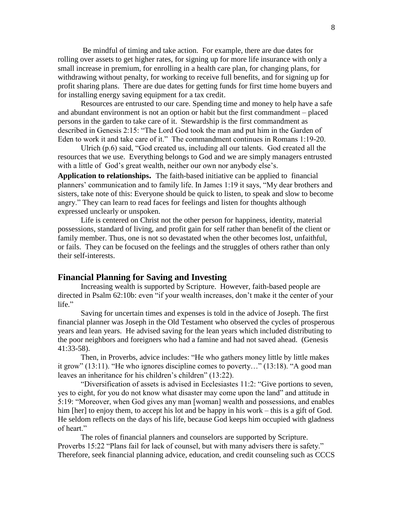Be mindful of timing and take action. For example, there are due dates for rolling over assets to get higher rates, for signing up for more life insurance with only a small increase in premium, for enrolling in a health care plan, for changing plans, for withdrawing without penalty, for working to receive full benefits, and for signing up for profit sharing plans. There are due dates for getting funds for first time home buyers and for installing energy saving equipment for a tax credit.

Resources are entrusted to our care. Spending time and money to help have a safe and abundant environment is not an option or habit but the first commandment – placed persons in the garden to take care of it. Stewardship is the first commandment as described in Genesis 2:15: "The Lord God took the man and put him in the Garden of Eden to work it and take care of it." The commandment continues in Romans 1:19-20.

Ulrich (p.6) said, "God created us, including all our talents. God created all the resources that we use. Everything belongs to God and we are simply managers entrusted with a little of God's great wealth, neither our own nor anybody else's.

**Application to relationships.** The faith-based initiative can be applied to financial planners' communication and to family life. In James 1:19 it says, "My dear brothers and sisters, take note of this: Everyone should be quick to listen, to speak and slow to become angry." They can learn to read faces for feelings and listen for thoughts although expressed unclearly or unspoken.

Life is centered on Christ not the other person for happiness, identity, material possessions, standard of living, and profit gain for self rather than benefit of the client or family member. Thus, one is not so devastated when the other becomes lost, unfaithful, or fails. They can be focused on the feelings and the struggles of others rather than only their self-interests.

#### **Financial Planning for Saving and Investing**

Increasing wealth is supported by Scripture. However, faith-based people are directed in Psalm 62:10b: even "if your wealth increases, don't make it the center of your life."

Saving for uncertain times and expenses is told in the advice of Joseph. The first financial planner was Joseph in the Old Testament who observed the cycles of prosperous years and lean years. He advised saving for the lean years which included distributing to the poor neighbors and foreigners who had a famine and had not saved ahead. (Genesis 41:33-58).

Then, in Proverbs, advice includes: "He who gathers money little by little makes it grow" (13:11). "He who ignores discipline comes to poverty…" (13:18). "A good man leaves an inheritance for his children's children" (13:22).

"Diversification of assets is advised in Ecclesiastes 11:2: "Give portions to seven, yes to eight, for you do not know what disaster may come upon the land" and attitude in 5:19: "Moreover, when God gives any man [woman] wealth and possessions, and enables him [her] to enjoy them, to accept his lot and be happy in his work – this is a gift of God. He seldom reflects on the days of his life, because God keeps him occupied with gladness of heart."

The roles of financial planners and counselors are supported by Scripture. Proverbs 15:22 "Plans fail for lack of counsel, but with many advisers there is safety." Therefore, seek financial planning advice, education, and credit counseling such as CCCS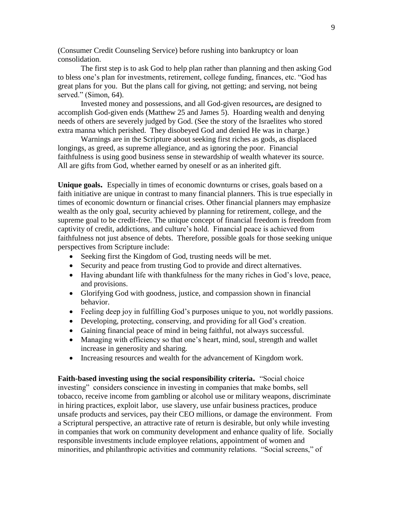(Consumer Credit Counseling Service) before rushing into bankruptcy or loan consolidation.

The first step is to ask God to help plan rather than planning and then asking God to bless one's plan for investments, retirement, college funding, finances, etc. "God has great plans for you. But the plans call for giving, not getting; and serving, not being served." (Simon, 64).

Invested money and possessions, and all God-given resources**,** are designed to accomplish God-given ends (Matthew 25 and James 5).Hoarding wealth and denying needs of others are severely judged by God. (See the story of the Israelites who stored extra manna which perished. They disobeyed God and denied He was in charge.)

Warnings are in the Scripture about seeking first riches as gods, as displaced longings, as greed, as supreme allegiance, and as ignoring the poor. Financial faithfulness is using good business sense in stewardship of wealth whatever its source. All are gifts from God, whether earned by oneself or as an inherited gift.

**Unique goals.** Especially in times of economic downturns or crises, goals based on a faith initiative are unique in contrast to many financial planners. This is true especially in times of economic downturn or financial crises. Other financial planners may emphasize wealth as the only goal, security achieved by planning for retirement, college, and the supreme goal to be credit-free. The unique concept of financial freedom is freedom from captivity of credit, addictions, and culture's hold. Financial peace is achieved from faithfulness not just absence of debts. Therefore, possible goals for those seeking unique perspectives from Scripture include:

- Seeking first the Kingdom of God, trusting needs will be met.
- Security and peace from trusting God to provide and direct alternatives.
- Having abundant life with thankfulness for the many riches in God's love, peace, and provisions.
- Glorifying God with goodness, justice, and compassion shown in financial behavior.
- Feeling deep joy in fulfilling God's purposes unique to you, not worldly passions.
- Developing, protecting, conserving, and providing for all God's creation.
- Gaining financial peace of mind in being faithful, not always successful.
- Managing with efficiency so that one's heart, mind, soul, strength and wallet increase in generosity and sharing.
- Increasing resources and wealth for the advancement of Kingdom work.

**Faith-based investing using the social responsibility criteria.** "Social choice investing" considers conscience in investing in companies that make bombs, sell tobacco, receive income from gambling or alcohol use or military weapons, discriminate in hiring practices, exploit labor, use slavery, use unfair business practices, produce unsafe products and services, pay their CEO millions, or damage the environment. From a Scriptural perspective, an attractive rate of return is desirable, but only while investing in companies that work on community development and enhance quality of life. Socially responsible investments include employee relations, appointment of women and minorities, and philanthropic activities and community relations. "Social screens," of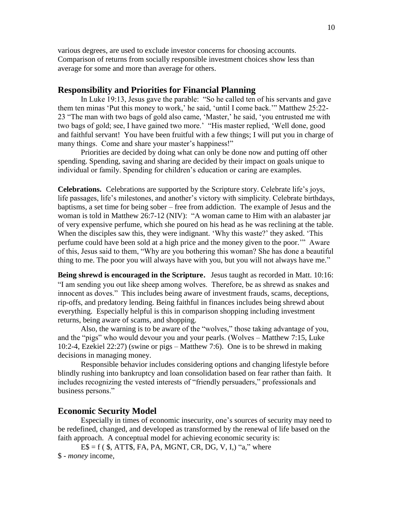various degrees, are used to exclude investor concerns for choosing accounts. Comparison of returns from socially responsible investment choices show less than average for some and more than average for others.

## **Responsibility and Priorities for Financial Planning**

In Luke 19:13, Jesus gave the parable: "So he called ten of his servants and gave them ten minas 'Put this money to work,' he said, 'until I come back.'" Matthew 25:22- 23 "The man with two bags of gold also came, 'Master,' he said, 'you entrusted me with two bags of gold; see, I have gained two more.' "His master replied, 'Well done, good and faithful servant! You have been fruitful with a few things; I will put you in charge of many things. Come and share your master's happiness!"

Priorities are decided by doing what can only be done now and putting off other spending. Spending, saving and sharing are decided by their impact on goals unique to individual or family. Spending for children's education or caring are examples.

**Celebrations.** Celebrations are supported by the Scripture story. Celebrate life's joys, life passages, life's milestones, and another's victory with simplicity. Celebrate birthdays, baptisms, a set time for being sober – free from addiction. The example of Jesus and the woman is told in Matthew 26:7-12 (NIV): "A woman came to Him with an alabaster jar of very expensive perfume, which she poured on his head as he was reclining at the table. When the disciples saw this, they were indignant. 'Why this waste?' they asked. 'This perfume could have been sold at a high price and the money given to the poor.'" Aware of this, Jesus said to them, "Why are you bothering this woman? She has done a beautiful thing to me. The poor you will always have with you, but you will not always have me."

**Being shrewd is encouraged in the Scripture**. Jesus taught as recorded in Matt. 10:16: "I am sending you out like sheep among wolves. Therefore, be as shrewd as snakes and innocent as doves." This includes being aware of investment frauds, scams, deceptions, rip-offs, and predatory lending. Being faithful in finances includes being shrewd about everything. Especially helpful is this in comparison shopping including investment returns, being aware of scams, and shopping.

Also, the warning is to be aware of the "wolves," those taking advantage of you, and the "pigs" who would devour you and your pearls. (Wolves – Matthew 7:15, Luke 10:2-4, Ezekiel 22:27) (swine or pigs – Matthew 7:6). One is to be shrewd in making decisions in managing money.

Responsible behavior includes considering options and changing lifestyle before blindly rushing into bankruptcy and loan consolidation based on fear rather than faith. It includes recognizing the vested interests of "friendly persuaders," professionals and business persons."

## **Economic Security Model**

Especially in times of economic insecurity, one's sources of security may need to be redefined, changed, and developed as transformed by the renewal of life based on the faith approach. A conceptual model for achieving economic security is:

 $ES = f$  ( \$, ATT\$, FA, PA, MGNT, CR, DG, V, I, "a," where \$ - *money* income,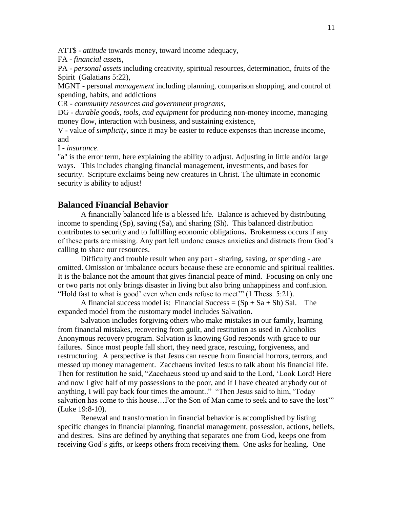ATT\$ - *attitude* towards money, toward income adequacy,

FA - *financial assets,*

PA - *personal assets* including creativity, spiritual resources, determination, fruits of the Spirit (Galatians 5:22),

MGNT - personal *management* including planning, comparison shopping, and control of spending, habits, and addictions

CR - *community resources and government programs,*

DG - *durable goods, tools, and equipment* for producing non-money income, managing money flow, interaction with business, and sustaining existence,

V - value of *simplicity,* since it may be easier to reduce expenses than increase income, and

I - *insurance*.

"a" is the error term, here explaining the ability to adjust. Adjusting in little and/or large ways. This includes changing financial management, investments, and bases for security. Scripture exclaims being new creatures in Christ. The ultimate in economic security is ability to adjust!

## **Balanced Financial Behavior**

A financially balanced life is a blessed life. Balance is achieved by distributing income to spending (Sp), saving (Sa), and sharing (Sh). This balanced distribution contributes to security and to fulfilling economic obligations**.** Brokenness occurs if any of these parts are missing. Any part left undone causes anxieties and distracts from God's calling to share our resources.

Difficulty and trouble result when any part - sharing, saving, or spending - are omitted. Omission or imbalance occurs because these are economic and spiritual realities. It is the balance not the amount that gives financial peace of mind. Focusing on only one or two parts not only brings disaster in living but also bring unhappiness and confusion. "Hold fast to what is good' even when ends refuse to meet'" (1 Thess. 5:21).

A financial success model is: Financial Success =  $(Sp + Sa + Sh)$  Sal. The expanded model from the customary model includes Salvation**.** 

Salvation includes forgiving others who make mistakes in our family, learning from financial mistakes, recovering from guilt, and restitution as used in Alcoholics Anonymous recovery program. Salvation is knowing God responds with grace to our failures. Since most people fall short, they need grace, rescuing, forgiveness, and restructuring. A perspective is that Jesus can rescue from financial horrors, terrors, and messed up money management. Zacchaeus invited Jesus to talk about his financial life. Then for restitution he said, "Zacchaeus stood up and said to the Lord, 'Look Lord! Here and now I give half of my possessions to the poor, and if I have cheated anybody out of anything, I will pay back four times the amount.." "Then Jesus said to him, 'Today salvation has come to this house…For the Son of Man came to seek and to save the lost'" (Luke 19:8-10).

Renewal and transformation in financial behavior is accomplished by listing specific changes in financial planning, financial management, possession, actions, beliefs, and desires. Sins are defined by anything that separates one from God, keeps one from receiving God's gifts, or keeps others from receiving them. One asks for healing. One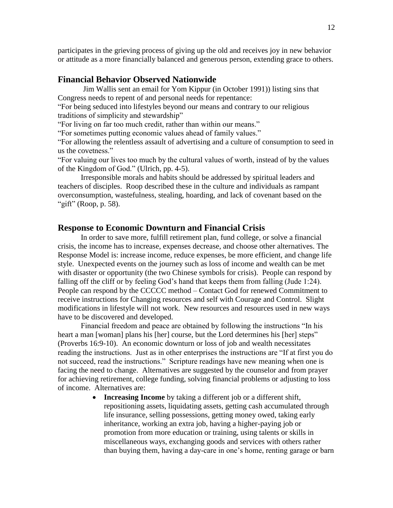participates in the grieving process of giving up the old and receives joy in new behavior or attitude as a more financially balanced and generous person, extending grace to others.

## **Financial Behavior Observed Nationwide**

Jim Wallis sent an email for Yom Kippur (in October 1991)) listing sins that Congress needs to repent of and personal needs for repentance:

"For being seduced into lifestyles beyond our means and contrary to our religious traditions of simplicity and stewardship"

"For living on far too much credit, rather than within our means."

"For sometimes putting economic values ahead of family values."

"For allowing the relentless assault of advertising and a culture of consumption to seed in us the covetness."

"For valuing our lives too much by the cultural values of worth, instead of by the values of the Kingdom of God." (Ulrich, pp. 4-5).

Irresponsible morals and habits should be addressed by spiritual leaders and teachers of disciples. Roop described these in the culture and individuals as rampant overconsumption, wastefulness, stealing, hoarding, and lack of covenant based on the "gift" (Roop, p. 58).

### **Response to Economic Downturn and Financial Crisis**

In order to save more, fulfill retirement plan, fund college, or solve a financial crisis, the income has to increase, expenses decrease, and choose other alternatives. The Response Model is: increase income, reduce expenses, be more efficient, and change life style. Unexpected events on the journey such as loss of income and wealth can be met with disaster or opportunity (the two Chinese symbols for crisis). People can respond by falling off the cliff or by feeling God's hand that keeps them from falling (Jude 1:24). People can respond by the CCCCC method – Contact God for renewed Commitment to receive instructions for Changing resources and self with Courage and Control. Slight modifications in lifestyle will not work. New resources and resources used in new ways have to be discovered and developed.

Financial freedom and peace are obtained by following the instructions "In his heart a man [woman] plans his [her] course, but the Lord determines his [her] steps" (Proverbs 16:9-10). An economic downturn or loss of job and wealth necessitates reading the instructions. Just as in other enterprises the instructions are "If at first you do not succeed, read the instructions." Scripture readings have new meaning when one is facing the need to change. Alternatives are suggested by the counselor and from prayer for achieving retirement, college funding, solving financial problems or adjusting to loss of income. Alternatives are:

> **Increasing Income** by taking a different job or a different shift, repositioning assets, liquidating assets, getting cash accumulated through life insurance, selling possessions, getting money owed, taking early inheritance, working an extra job, having a higher-paying job or promotion from more education or training, using talents or skills in miscellaneous ways, exchanging goods and services with others rather than buying them, having a day-care in one's home, renting garage or barn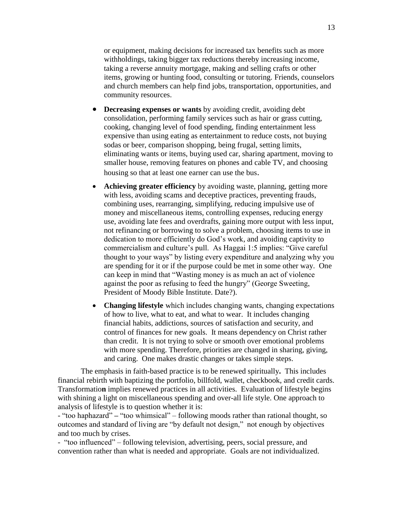or equipment, making decisions for increased tax benefits such as more withholdings, taking bigger tax reductions thereby increasing income, taking a reverse annuity mortgage, making and selling crafts or other items, growing or hunting food, consulting or tutoring. Friends, counselors

 **Decreasing expenses or wants** by avoiding credit, avoiding debt consolidation, performing family services such as hair or grass cutting, cooking, changing level of food spending, finding entertainment less expensive than using eating as entertainment to reduce costs, not buying sodas or beer, comparison shopping, being frugal, setting limits, eliminating wants or items, buying used car, sharing apartment, moving to smaller house, removing features on phones and cable TV, and choosing housing so that at least one earner can use the bus.

and church members can help find jobs, transportation, opportunities, and

community resources.

- **Achieving greater efficiency** by avoiding waste, planning, getting more with less, avoiding scams and deceptive practices, preventing frauds, combining uses, rearranging, simplifying, reducing impulsive use of money and miscellaneous items, controlling expenses, reducing energy use, avoiding late fees and overdrafts, gaining more output with less input, not refinancing or borrowing to solve a problem, choosing items to use in dedication to more efficiently do God's work, and avoiding captivity to commercialism and culture's pull. As Haggai 1:5 implies: "Give careful thought to your ways" by listing every expenditure and analyzing why you are spending for it or if the purpose could be met in some other way. One can keep in mind that "Wasting money is as much an act of violence against the poor as refusing to feed the hungry" (George Sweeting, President of Moody Bible Institute. Date?).
- **Changing lifestyle** which includes changing wants, changing expectations of how to live, what to eat, and what to wear. It includes changing financial habits, addictions, sources of satisfaction and security, and control of finances for new goals. It means dependency on Christ rather than credit. It is not trying to solve or smooth over emotional problems with more spending. Therefore, priorities are changed in sharing, giving, and caring. One makes drastic changes or takes simple steps.

The emphasis in faith-based practice is to be renewed spiritually**.** This includes financial rebirth with baptizing the portfolio, billfold, wallet, checkbook, and credit cards. Transformatio**n** implies renewed practices in all activities. Evaluation of lifestyle begins with shining a light on miscellaneous spending and over-all life style. One approach to analysis of lifestyle is to question whether it is:

- "too haphazard" **–** "too whimsical" – following moods rather than rational thought, so outcomes and standard of living are "by default not design," not enough by objectives and too much by crises.

- "too influenced" – following television, advertising, peers, social pressure, and convention rather than what is needed and appropriate. Goals are not individualized.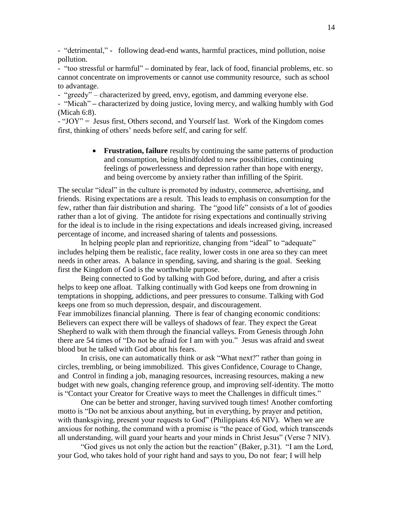- "detrimental," **-** following dead-end wants, harmful practices, mind pollution, noise pollution.

- "too stressful or harmful" **–** dominated by fear, lack of food, financial problems, etc. so cannot concentrate on improvements or cannot use community resource, such as school to advantage.

- "greedy" – characterized by greed, envy, egotism, and damming everyone else.

- "Micah" **–** characterized by doing justice, loving mercy, and walking humbly with God (Micah 6:8).

- "JOY" = Jesus first, Others second, and Yourself last. Work of the Kingdom comes first, thinking of others' needs before self, and caring for self.

> **Frustration, failure** results by continuing the same patterns of production and consumption, being blindfolded to new possibilities, continuing feelings of powerlessness and depression rather than hope with energy, and being overcome by anxiety rather than infilling of the Spirit.

The secular "ideal" in the culture is promoted by industry, commerce, advertising, and friends. Rising expectations are a result. This leads to emphasis on consumption for the few, rather than fair distribution and sharing. The "good life" consists of a lot of goodies rather than a lot of giving. The antidote for rising expectations and continually striving for the ideal is to include in the rising expectations and ideals increased giving, increased percentage of income, and increased sharing of talents and possessions.

In helping people plan and reprioritize, changing from "ideal" to "adequate" includes helping them be realistic, face reality, lower costs in one area so they can meet needs in other areas. A balance in spending, saving, and sharing is the goal. Seeking first the Kingdom of God is the worthwhile purpose.

Being connected to God by talking with God before, during, and after a crisis helps to keep one afloat. Talking continually with God keeps one from drowning in temptations in shopping, addictions, and peer pressures to consume. Talking with God keeps one from so much depression, despair, and discouragement.

Fear immobilizes financial planning. There is fear of changing economic conditions: Believers can expect there will be valleys of shadows of fear. They expect the Great Shepherd to walk with them through the financial valleys. From Genesis through John there are 54 times of "Do not be afraid for I am with you." Jesus was afraid and sweat blood but he talked with God about his fears.

In crisis, one can automatically think or ask "What next?" rather than going in circles, trembling, or being immobilized. This gives Confidence, Courage to Change, and Control in finding a job, managing resources, increasing resources, making a new budget with new goals, changing reference group, and improving self-identity. The motto is "Contact your Creator for Creative ways to meet the Challenges in difficult times."

One can be better and stronger, having survived tough times! Another comforting motto is "Do not be anxious about anything, but in everything, by prayer and petition, with thanksgiving, present your requests to God" (Philippians 4:6 NIV). When we are anxious for nothing, the command with a promise is "the peace of God, which transcends all understanding, will guard your hearts and your minds in Christ Jesus" (Verse 7 NIV).

"God gives us not only the action but the reaction" (Baker, p.31). "I am the Lord, your God, who takes hold of your right hand and says to you, Do not fear; I will help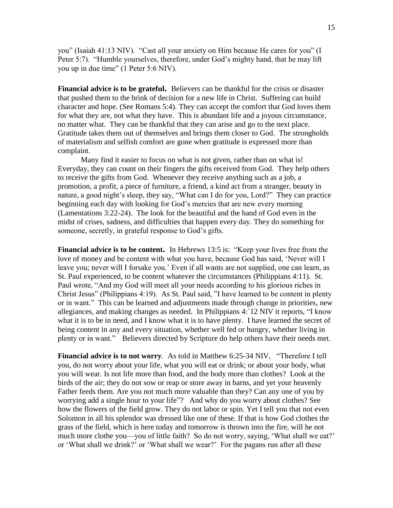you" (Isaiah 41:13 NIV). "Cast all your anxiety on Him because He cares for you" (I Peter 5:7). "Humble yourselves, therefore, under God's mighty hand, that he may lift you up in due time" (1 Peter 5:6 NIV).

**Financial advice is to be grateful.** Believers can be thankful for the crisis or disaster that pushed them to the brink of decision for a new life in Christ. Suffering can build character and hope. (See Romans 5:4). They can accept the comfort that God loves them for what they are, not what they have. This is abundant life and a joyous circumstance, no matter what. They can be thankful that they can arise and go to the next place. Gratitude takes them out of themselves and brings them closer to God. The strongholds of materialism and selfish comfort are gone when gratitude is expressed more than complaint.

Many find it easier to focus on what is not given, rather than on what is! Everyday, they can count on their fingers the gifts received from God. They help others to receive the gifts from God. Whenever they receive anything such as a job, a promotion, a profit, a piece of furniture, a friend, a kind act from a stranger, beauty in nature, a good night's sleep, they say, "What can I do for you, Lord?" They can practice beginning each day with looking for God's mercies that are new every morning (Lamentations 3:22-24). The look for the beautiful and the hand of God even in the midst of crises, sadness, and difficulties that happen every day. They do something for someone, secretly, in grateful response to God's gifts.

**Financial advice is to be content.** In Hebrews 13:5 is: "Keep your lives free from the love of money and be content with what you have, because God has said, 'Never will I leave you; never will I forsake you.' Even if all wants are not supplied, one can learn, as St. Paul experienced, to be content whatever the circumstances (Philippians 4:11). St. Paul wrote, "And my God will meet all your needs according to his glorious riches in Christ Jesus" (Philippians 4:19). As St. Paul said, "I have learned to be content in plenty or in want." This can be learned and adjustments made through change in priorities, new allegiances, and making changes as needed. In Philippians 4:`12 NIV it reports, "I know what it is to be in need, and I know what it is to have plenty. I have learned the secret of being content in any and every situation, whether well fed or hungry, whether living in plenty or in want." Believers directed by Scripture do help others have their needs met.

**Financial advice is to not worry**. As told in Matthew 6:25-34 NIV, "Therefore I tell you, do not worry about your life, what you will eat or drink; or about your body, what you will wear. Is not life more than food, and the body more than clothes? Look at the birds of the air; they do not sow or reap or store away in barns, and yet your heavenly Father feeds them. Are you not much more valuable than they? Can any one of you by worrying add a single hour to your life"? And why do you worry about clothes? See how the flowers of the field grow. They do not labor or spin. Yet I tell you that not even Solomon in all his splendor was dressed like one of these. If that is how God clothes the grass of the field, which is here today and tomorrow is thrown into the fire, will he not much more clothe you—you of little faith? So do not worry, saying, 'What shall we eat?' or 'What shall we drink?' or 'What shall we wear?' For the pagans run after all these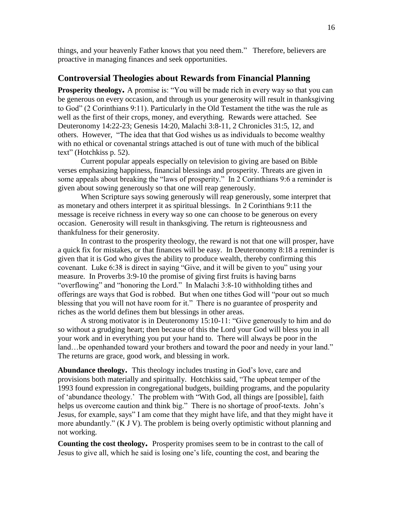things, and your heavenly Father knows that you need them." Therefore, believers are proactive in managing finances and seek opportunities.

## **Controversial Theologies about Rewards from Financial Planning**

**Prosperity theology.** A promise is: "You will be made rich in every way so that you can be generous on every occasion, and through us your generosity will result in thanksgiving to God" (2 Corinthians 9:11). Particularly in the Old Testament the tithe was the rule as well as the first of their crops, money, and everything. Rewards were attached. See Deuteronomy 14:22-23; Genesis 14:20, Malachi 3:8-11, 2 Chronicles 31:5, 12, and others. However, "The idea that that God wishes us as individuals to become wealthy with no ethical or covenantal strings attached is out of tune with much of the biblical text" (Hotchkiss p. 52).

Current popular appeals especially on television to giving are based on Bible verses emphasizing happiness, financial blessings and prosperity. Threats are given in some appeals about breaking the "laws of prosperity." In 2 Corinthians 9:6 a reminder is given about sowing generously so that one will reap generously.

When Scripture says sowing generously will reap generously, some interpret that as monetary and others interpret it as spiritual blessings. In 2 Corinthians 9:11 the message is receive richness in every way so one can choose to be generous on every occasion. Generosity will result in thanksgiving. The return is righteousness and thankfulness for their generosity.

In contrast to the prosperity theology, the reward is not that one will prosper, have a quick fix for mistakes, or that finances will be easy. In Deuteronomy 8:18 a reminder is given that it is God who gives the ability to produce wealth, thereby confirming this covenant. Luke 6:38 is direct in saying "Give, and it will be given to you" using your measure. In Proverbs 3:9-10 the promise of giving first fruits is having barns "overflowing" and "honoring the Lord." In Malachi 3:8-10 withholding tithes and offerings are ways that God is robbed. But when one tithes God will "pour out so much blessing that you will not have room for it." There is no guarantee of prosperity and riches as the world defines them but blessings in other areas.

A strong motivator is in Deuteronomy 15:10-11: "Give generously to him and do so without a grudging heart; then because of this the Lord your God will bless you in all your work and in everything you put your hand to. There will always be poor in the land...be openhanded toward your brothers and toward the poor and needy in your land." The returns are grace, good work, and blessing in work.

**Abundance theology.** This theology includes trusting in God's love, care and provisions both materially and spiritually. Hotchkiss said, "The upbeat temper of the 1993 found expression in congregational budgets, building programs, and the popularity of 'abundance theology.' The problem with "With God, all things are [possible], faith helps us overcome caution and think big." There is no shortage of proof-texts. John's Jesus, for example, says" I am come that they might have life, and that they might have it more abundantly." (K J V). The problem is being overly optimistic without planning and not working.

**Counting the cost theology.** Prosperity promises seem to be in contrast to the call of Jesus to give all, which he said is losing one's life, counting the cost, and bearing the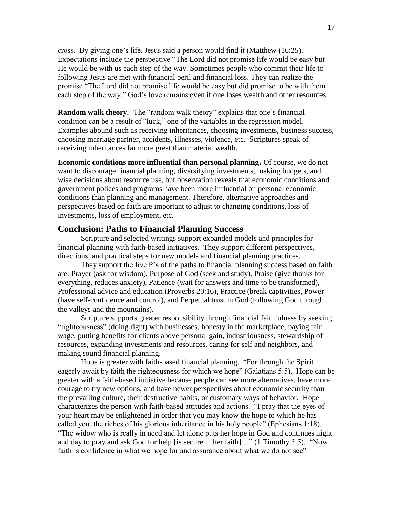cross. By giving one's life, Jesus said a person would find it (Matthew (16:25). Expectations include the perspective "The Lord did not promise life would be easy but He would be with us each step of the way. Sometimes people who commit their life to following Jesus are met with financial peril and financial loss. They can realize the promise "The Lord did not promise life would be easy but did promise to be with them each step of the way." God's love remains even if one loses wealth and other resources.

**Random walk theory.** The "random walk theory" explains that one's financial condition can be a result of "luck," one of the variables in the regression model. Examples abound such as receiving inheritances, choosing investments, business success, choosing marriage partner, accidents, illnesses, violence, etc. Scriptures speak of receiving inheritances far more great than material wealth.

**Economic conditions more influential than personal planning.** Of course, we do not want to discourage financial planning, diversifying investments, making budgets, and wise decisions about resource use, but observation reveals that economic conditions and government polices and programs have been more influential on personal economic conditions than planning and management. Therefore, alternative approaches and perspectives based on faith are important to adjust to changing conditions, loss of investments, loss of employment, etc.

## **Conclusion: Paths to Financial Planning Success**

Scripture and selected writings support expanded models and principles for financial planning with faith-based initiatives. They support different perspectives, directions, and practical steps for new models and financial planning practices.

They support the five P's of the paths to financial planning success based on faith are: Prayer (ask for wisdom), Purpose of God (seek and study), Praise (give thanks for everything, reduces anxiety), Patience (wait for answers and time to be transformed), Professional advice and education (Proverbs 20:16), Practice (break captivities, Power (have self-confidence and control), and Perpetual trust in God (following God through the valleys and the mountains).

Scripture supports greater responsibility through financial faithfulness by seeking "righteousness" (doing right) with businesses, honesty in the marketplace, paying fair wage, putting benefits for clients above personal gain, industriousness, stewardship of resources, expanding investments and resources, caring for self and neighbors, and making sound financial planning.

Hope is greater with faith-based financial planning. "For through the Spirit eagerly await by faith the righteousness for which we hope" (Galatians 5:5). Hope can be greater with a faith-based initiative because people can see more alternatives, have more courage to try new options, and have newer perspectives about economic security than the prevailing culture, their destructive habits, or customary ways of behavior. Hope characterizes the person with faith-based attitudes and actions. "I pray that the eyes of your heart may be enlightened in order that you may know the hope to which he has called you, the riches of his glorious inheritance in his holy people" (Ephesians 1:18). "The widow who is really in need and let alone puts her hope in God and continues night and day to pray and ask God for help [is secure in her faith]…" (1 Timothy 5:5). "Now faith is confidence in what we hope for and assurance about what we do not see"